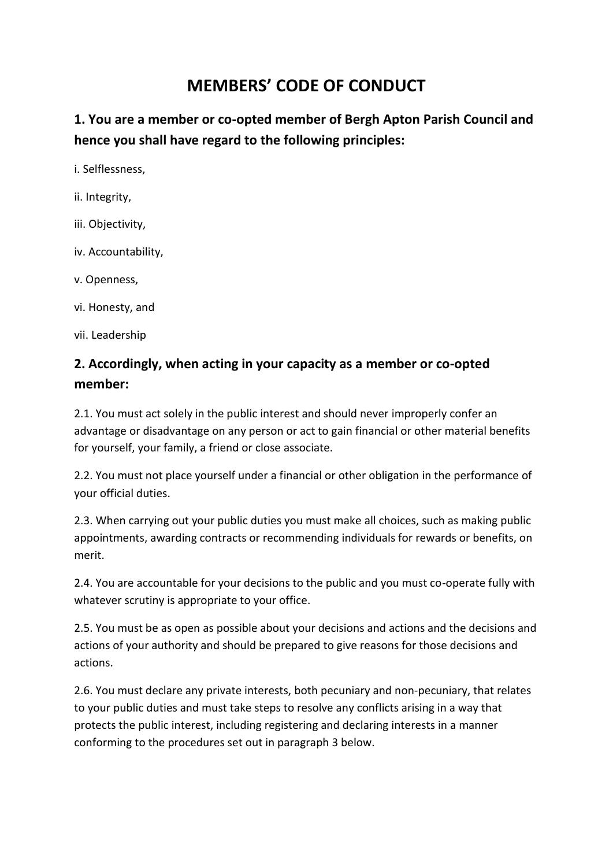## **MEMBERS' CODE OF CONDUCT**

**1. You are a member or co-opted member of Bergh Apton Parish Council and hence you shall have regard to the following principles:** 

i. Selflessness,

- ii. Integrity,
- iii. Objectivity,
- iv. Accountability,
- v. Openness,
- vi. Honesty, and

vii. Leadership

## **2. Accordingly, when acting in your capacity as a member or co-opted member:**

2.1. You must act solely in the public interest and should never improperly confer an advantage or disadvantage on any person or act to gain financial or other material benefits for yourself, your family, a friend or close associate.

2.2. You must not place yourself under a financial or other obligation in the performance of your official duties.

2.3. When carrying out your public duties you must make all choices, such as making public appointments, awarding contracts or recommending individuals for rewards or benefits, on merit.

2.4. You are accountable for your decisions to the public and you must co-operate fully with whatever scrutiny is appropriate to your office.

2.5. You must be as open as possible about your decisions and actions and the decisions and actions of your authority and should be prepared to give reasons for those decisions and actions.

2.6. You must declare any private interests, both pecuniary and non-pecuniary, that relates to your public duties and must take steps to resolve any conflicts arising in a way that protects the public interest, including registering and declaring interests in a manner conforming to the procedures set out in paragraph 3 below.